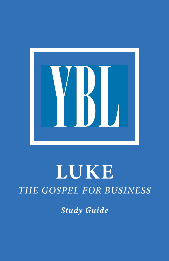

# **LUKE** *THE GOSPEL FOR BUSINESS*

*Study Guide*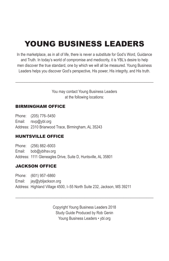# YOUNG BUSINESS LEADERS

In the marketplace, as in all of life, there is never a substitute for God's Word, Guidance and Truth. In today's world of compromise and mediocrity, it is YBL's desire to help men discover the true standard, one by which we will all be measured. Young Business Leaders helps you discover God's perspective, His power, His integrity, and His truth.

> You may contact Young Business Leaders at the following locations:

\_\_\_\_\_\_\_\_\_\_\_\_\_\_\_\_\_\_\_\_\_\_\_\_\_\_\_\_\_\_\_\_\_\_\_\_\_\_\_\_\_\_\_\_\_\_\_\_\_\_\_\_\_\_\_\_\_\_\_\_

#### BIRMINGHAM OFFICE

Phone: (205) 776–5450 Email: rsvp@ybl.org Address: 2310 Briarwood Trace, Birmingham, AL 35243

#### HUNTSVILLE OFFICE

Phone: (256) 882–6003 Email: bob@yblhsv.org Address: 1111 Gleneagles Drive, Suite D, Huntsville, AL 35801

#### JACKSON OFFICE

Phone: (601) 957–6860 Email: jay@ybljackson.org Address: Highland Village 4500, I–55 North Suite 232, Jackson, MS 39211

> Copyright Young Business Leaders 2018 Study Guide Produced by Rob Genin Young Business Leaders • ybl.org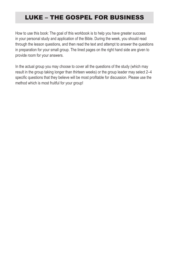# LUKE – THE GOSPEL FOR BUSINESS

How to use this book: The goal of this workbook is to help you have greater success in your personal study and application of the Bible. During the week, you should read through the lesson questions, and then read the text and attempt to answer the questions in preparation for your small group. The lined pages on the right hand side are given to provide room for your answers.

In the actual group you may choose to cover all the questions of the study (which may result in the group taking longer than thirteen weeks) or the group leader may select 2–4 specific questions that they believe will be most profitable for discussion. Please use the method which is most fruitful for your group!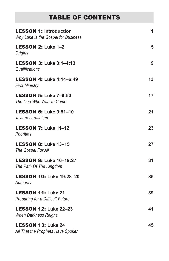# TABLE OF CONTENTS

| <b>LESSON 1: Introduction</b><br>Why Luke is the Gospel for Business | 1  |
|----------------------------------------------------------------------|----|
| LESSON 2: Luke 1-2<br><b>Origins</b>                                 | 5  |
| <b>LESSON 3: Luke 3:1-4:13</b><br>Qualifications                     | 9  |
| <b>LESSON 4: Luke 4:14-6:49</b><br><b>First Ministry</b>             | 13 |
| <b>LESSON 5: Luke 7-9:50</b><br>The One Who Was To Come              | 17 |
| <b>LESSON 6: Luke 9:51-10</b><br><b>Toward Jerusalem</b>             | 21 |
| <b>LESSON 7: Luke 11-12</b><br><b>Priorities</b>                     | 23 |
| <b>LESSON 8: Luke 13-15</b><br>The Gospel For All                    | 27 |
| <b>LESSON 9: Luke 16-19:27</b><br>The Path Of The Kingdom            | 31 |
| <b>LESSON 10: Luke 19:28-20</b><br>Authority                         | 35 |
| <b>LESSON 11: Luke 21</b><br><b>Preparing for a Difficult Future</b> | 39 |
| <b>LESSON 12: Luke 22-23</b><br><b>When Darkness Reigns</b>          | 41 |
| <b>LESSON 13: Luke 24</b><br>All That the Prophets Have Spoken       | 45 |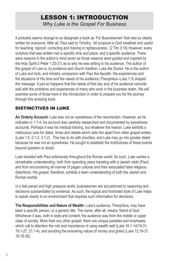## LESSON 1: INTRODUCTION *Why Luke is the Gospel For Business*

It probably seems strange to so designate a book as 'For Businessmen' that was so clearly written for everyone. After all, Paul said to Timothy, 'All scripture is God breathed and useful for teaching, reproof, correcting and training in righteousness.' (2 Tim 3:16) However, every scripture that was written had a specific time and place, and a specific audience. There were reasons in the author's mind (even as those reasons were guided and inspired by the Holy Spirit-2 Peter 1:20-21) as to why he was writing to his audience. The author of the gospel of Luke is, by evidence and church tradition, Luke the Doctor. He is the author of Luke and Acts, and ministry companion with Paul the Apostle. His experiences and the situations of His time and the needs of his audience (Theophilus--Luke 1:3) shaped the message. It just so happens that the needs of that day and of his audience coincide well with the problems and experiences of many who work in the business realm. We will examine some of those here in the introduction in order to prepare you for the journey through this amazing book.

## DISTINCTIVES IN LUKE

**An Orderly Account:** Luke was not an eyewitness of the resurrection. However, as he indicates in 1:1-4, his account was carefully researched and documented by eyewitness accounts. Perhaps it was his medical training, but whatever the reason, Luke exhibits a meticulous care for dates, times and details which sets him apart from other gospel writers (Luke 1:5, 2:1-2, 3:1-2) . This has to do with priorities, and Luke may go into greater detail because he was not an eyewitness. He sought to establish the truthfulness of these events beyond question or doubt.

Luke traveled with Paul extensively throughout the Roman world. As such, Luke carries a remarkable understanding, both from spending years traveling with a Jewish rabbi (Paul) and from encountering all manner of pagan cultures and their associated false religious distortions. His gospel, therefore, exhibits a keen understanding of both the Jewish and Roman worlds.

In a fast paced and high pressure world, businessmen are accustomed to reasoning and decisions substantiated by evidence. As such, the logical and footnoted style of Luke helps to speak clearly to an environment that requires such information for decisions.

**The Responsibilities and Nature of Wealth:** Luke's audience, Theophilus, may have been a specific person, or a generic title. The name, after all, means 'friend of God.' Whichever it was, both in style and content, the audience was from the middle or upper class of society. More than any other gospel, there are unique parables and emphases which call to attention the role and importance of using wealth well (Luke 16:1-14/19-31, 19:1-27, 21:1-4), and avoiding the ensnaring nature of money and greed (Luke 12:19-31, 18:18-30).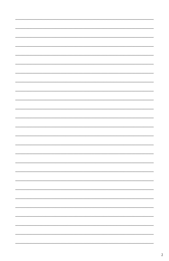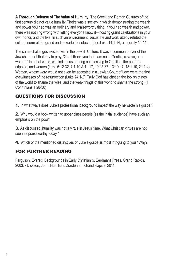**A Thorough Defense of The Value of Humility:** The Greek and Roman Cultures of the first century did not value humility. Theirs was a society in which demonstrating the wealth and power you had was an ordinary and praiseworthy thing. If you had wealth and power, there was nothing wrong with letting everyone know it—hosting grand celebrations in your own honor, and the like. In such an environment, Jesus' life and work utterly refuted the cultural norm of the grand and powerful benefactor (see Luke 14:1-14, especially 12-14).

The same challenges existed within the Jewish Culture. It was a common prayer of the Jewish man of that day to pray, 'God I thank you that I am not a Gentile, a slave, or a woman.' Into that world, we find Jesus pouring out blessing to Gentiles, the poor and crippled, and women (Luke 5:12-32, 7:1-10 & 11-17, 10:25-37, 13:10-17, 18:1-10, 21:1-4). Women, whose word would not even be accepted in a Jewish Court of Law, were the first eyewitnesses of the resurrection (Luke 24:1-2). Truly God has chosen the foolish things of the world to shame the wise, and the weak things of this world to shame the strong. (1 Corinthians 1:28-30)

## QUESTIONS FOR DISCUSSION

1. In what ways does Luke's professional background impact the way he wrote his gospel?

2. Why would a book written to upper class people (as the initial audience) have such an emphasis on the poor?

3. As discussed, humility was not a virtue in Jesus' time. What Christian virtues are not seen as praiseworthy today?

4. Which of the mentioned distinctives of Luke's gospel is most intriguing to you? Why?

#### FOR FURTHER READING

Ferguson, Everett. Backgrounds in Early Christianity. Eerdmans Press, Grand Rapids, 2003. • Dickson, John. Humilitas. Zondervan, Grand Rapids, 2011.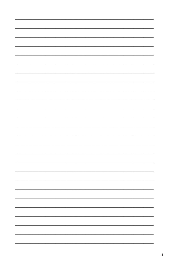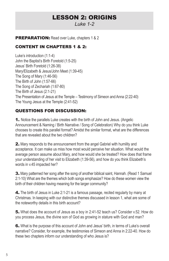# LESSON 2: ORIGINS

## *Luke 1-2*

#### **PREPARATION:** Read over Luke, chapters 1 & 2

#### CONTENT IN CHAPTERS 1 & 2:

Luke's introduction (1:1-4) John the Baptist's Birth Foretold (1:5-25) Jesus' Birth Foretold (1:26-38) Mary/Elizabeth & Jesus/John Meet (1:39-45) The Song of Mary (1:46-56) The Birth of John (1:57-66) The Song of Zechariah (1:67-80) The Birth of Jesus (2:1-21) The Presentation of Jesus at the Temple – Testimony of Simeon and Anna (2:22-40) The Young Jesus at the Temple (2:41-52)

#### QUESTIONS FOR DISCUSSION:

1. Notice the parallels Luke creates with the birth of John and Jesus. (Angelic Announcement & Naming / Birth Narrative / Song of Celebration) Why do you think Luke chooses to create this parallel format? Amidst the similar format, what are the differences that are revealed about the two children?

2. Mary responds to the announcement from the angel Gabriel with humility and acceptance. It can make us miss how most would perceive her situation. What would the average person assume about Mary, and how would she be treated? How does that frame your understanding of her visit to Elizabeth (1:39-56), and how do you think Elizabeth's words in v.45 impacted her?

**3.** Mary patterned her song after the song of another biblical saint, Hannah. (Read 1 Samuel 2:1-10) What are the themes which both songs emphasize? How do these women view the birth of their children having meaning for the larger community?

4. The birth of Jesus in Luke 2:1-21 is a famous passage, recited regularly by many at Christmas. In keeping with our distinctive themes discussed in lesson 1, what are some of the noteworthy details in this birth account?

5. What does the account of Jesus as a boy in 2:41-52 teach us? Consider v.52. How do you process Jesus, the divine son of God as growing in stature with God and man?

6. What is the purpose of this account of John and Jesus' birth, in terms of Luke's overall narrative? Consider, for example, the testimonies of Simeon and Anna in 2:22-40. How do these two chapters inform our understanding of who Jesus is?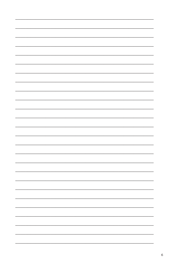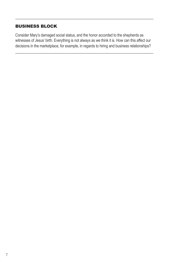#### BUSINESS BLOCK

Consider Mary's damaged social status, and the honor accorded to the shepherds as witnesses of Jesus' birth. Everything is not always as we think it is. How can this affect our decisions in the marketplace, for example, in regards to hiring and business relationships?

\_\_\_\_\_\_\_\_\_\_\_\_\_\_\_\_\_\_\_\_\_\_\_\_\_\_\_\_\_\_\_\_\_\_\_\_\_\_\_\_\_\_\_\_\_\_\_\_\_\_\_\_\_\_\_\_\_\_\_\_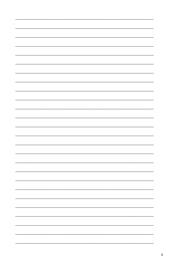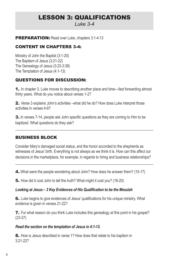# LESSON 3: QUALIFICATIONS

*Luke 3-4*

#### PREPARATION: Read over Luke, chapters 3:1-4:13

#### CONTENT IN CHAPTERS 3-4:

Ministry of John the Baptist (3:1-20) The Baptism of Jesus (3:21-22) The Genealogy of Jesus (3:23-3:38) The Temptation of Jesus (4:1-13)

#### QUESTIONS FOR DISCUSSION:

1. In chapter 3, Luke moves to describing another place and time—fast forwarding almost thirty years. What do you notice about verses 1-2?

2. Verse 3 explains John's activities –what did he do? How does Luke interpret those activities in verses 4-6?

**3.** In verses 7-14, people ask John specific questions as they are coming to Him to be baptized. What questions do they ask?

\_\_\_\_\_\_\_\_\_\_\_\_\_\_\_\_\_\_\_\_\_\_\_\_\_\_\_\_\_\_\_\_\_\_\_\_\_\_\_\_\_\_\_\_\_\_\_\_\_\_\_\_\_\_\_\_\_\_\_\_

#### BUSINESS BLOCK

Consider Mary's damaged social status, and the honor accorded to the shepherds as witnesses of Jesus' birth. Everything is not always as we think it is. How can this affect our decisions in the marketplace, for example, in regards to hiring and business relationships?

\_\_\_\_\_\_\_\_\_\_\_\_\_\_\_\_\_\_\_\_\_\_\_\_\_\_\_\_\_\_\_\_\_\_\_\_\_\_\_\_\_\_\_\_\_\_\_\_\_\_\_\_\_\_\_\_\_\_\_\_

4. What were the people wondering about John? How does he answer them? (15-17)

5. How did it cost John to tell the truth? What might it cost you? (18-20)

#### *Looking at Jesus – 3 Key Evidences of His Qualification to be the Messiah*

6. Luke begins to give evidences of Jesus' qualifications for his unique ministry. What evidence is given in verses 21-22?

7. For what reason do you think Luke includes this genealogy at this point in his gospel? (23-37)

#### *Read the section on the temptation of Jesus in 4:1-13.*

8. How is Jesus described in verse 1? How does that relate to his baptism in 3:21-22?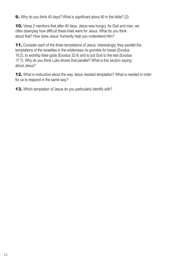9. Why do you think 40 days? What is significant about 40 in the bible? (2)

10. Verse 2 mentions that after 40 days, Jesus was hungry. As God and man, we often downplay how difficult these trials were for Jesus. What do you think about that? How does Jesus' humanity help you understand Him?

11. Consider each of the three temptations of Jesus. Interestingly, they parallel the temptations of the Israelites in the wilderness--to grumble for bread (Exodus 16:2), to worship false gods (Exodus 32:4) and to put God to the test (Exodus 17:7). Why do you think Luke shows that parallel? What is this section saying about Jesus?

12. What is instructive about the way Jesus resisted temptation? What is needed in order for us to respond in the same way?

13. Which temptation of Jesus do you particularly identify with?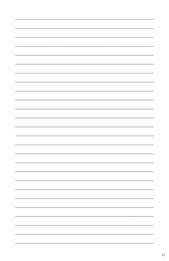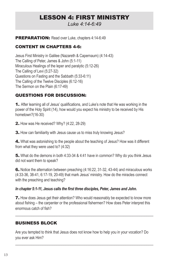# LESSON 4: FIRST MINISTRY

*Luke 4:14-6:49*

#### PREPARATION: Read over Luke, chapters 4:14-6:49

#### CONTENT IN CHAPTERS 4-6:

Jesus First Ministry in Galilee (Nazareth & Capernaum) (4:14-43) The Calling of Peter, James & John (5:1-11) Miraculous Healings of the leper and paralytic (5:12-26) The Calling of Levi (5:27-32) Questions on Fasting and the Sabbath (5:33-6:11) The Calling of the Twelve Disciples (6:12-16) The Sermon on the Plain (6:17-49)

#### QUESTIONS FOR DISCUSSION:

1. After learning all of Jesus' qualifications, and Luke's note that He was working in the power of the Holy Spirit (14), how would you expect his ministry to be received by His hometown?(16-30)

2. How was He received? Why? (4:22, 28-29)

**3.** How can familiarity with Jesus cause us to miss truly knowing Jesus?

4. What was astonishing to the people about the teaching of Jesus? How was it different from what they were used to? (4:32)

5. What do the demons in both 4:33-34 & 4:41 have in common? Why do you think Jesus did not want them to speak?

6. Notice the alternation between preaching (4:16:22, 31-32, 43-44) and miraculous works (4:33-36, 38-41, 6:17-19, 20-49) that mark Jesus' ministry. How do the miracles connect with the preaching and teaching?

#### *In chapter 5:1-11, Jesus calls the first three disciples, Peter, James and John.*

7. How does Jesus get their attention? Who would reasonably be expected to know more about fishing – the carpenter or the professional fishermen? How does Peter interpret this enormous catch of fish?

\_\_\_\_\_\_\_\_\_\_\_\_\_\_\_\_\_\_\_\_\_\_\_\_\_\_\_\_\_\_\_\_\_\_\_\_\_\_\_\_\_\_\_\_\_\_\_\_\_\_\_\_\_\_\_\_\_\_\_\_

#### BUSINESS BLOCK

Are you tempted to think that Jesus does not know how to help you in your vocation? Do you ever ask Him?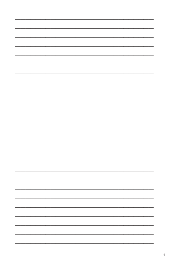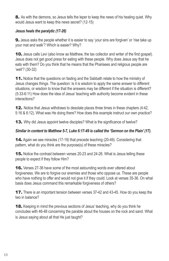8. As with the demons, so Jesus tells the leper to keep the news of his healing quiet. Why would Jesus want to keep this news secret? (12-15)

#### *Jesus heals the paralytic (17-26)*

**9.** Jesus asks the people whether it is easier to say 'your sins are forgiven' or 'rise take up your mat and walk'? Which is easier? Why?

10. Jesus calls Levi (also know as Matthew, the tax collector and writer of the first gospel). Jesus does not get good press for eating with these people. Why does Jesus say that he eats with them? Do you think that he means that the Pharisees and religious people are 'well'? (30-32)

**11.** Notice that the questions on fasting and the Sabbath relate to how the ministry of Jesus changes things. The question: Is it is wisdom to apply the same answer to different situations, or wisdom to know that the answers may be different if the situation is different? (5:33-6:11) How does the idea of Jesus' teaching with authority become evident in these interactions?

**12.** Notice that Jesus withdraws to desolate places three times in these chapters (4:42, 5:16 & 6:12). What was He doing there? How does this example instruct our own practice?

**13.** Why did Jesus appoint twelve disciples? What is the significance of twelve?

#### *Similar in content to Matthew 5-7, Luke 6:17-49 is called the 'Sermon on the Plain' (17).*

14. Again we see miracles (17-19) that precede teaching (20-49). Considering that pattern, what do you think are the purpose(s) of these miracles?

15. Notice the contrast between verses 20-23 and 24-26. What is Jesus telling these people to expect if they follow Him?

**16.** Verses 27-36 have some of the most astounding words ever uttered about forgiveness. We are to forgive our enemies and those who oppose us. These are people who have nothing to offer and would not give it if they could. Look at verses 35-36. On what basis does Jesus command this remarkable forgiveness of others?

**17.** There is an important tension between verses 37-42 and 43-45. How do you keep the two in balance?

18. Keeping in mind the previous sections of Jesus' teaching, why do you think he concludes with 46-48 concerning the parable about the houses on the rock and sand. What is Jesus saying about all that He just taught?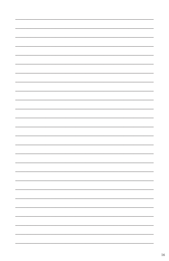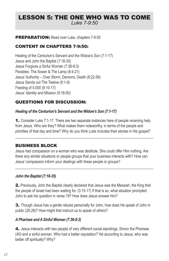## LESSON 5: THE ONE WHO WAS TO COME *Luke 7-9:50*

#### **PREPARATION:** Read over Luke, chapters 7-9:50

#### CONTENT IN CHAPTERS 7-9:50:

Healing of the Centurion's Servant and the Widow's Son (7:1-17) Jesus and John the Baptist (7:18-35) Jesus Forgives a Sinful Woman (7:36-8:3) Parables: The Sower & The Lamp (8:4-21) Jesus' Authority – Over Storm, Demons, Death (8:22-56) Jesus Sends out The Twelve (9:1-9) Feeding of 5,000 (9:10-17) Jesus' Identity and Mission (9:18-50)

#### QUESTIONS FOR DISCUSSION:

#### *Healing of the Centurion's Servant and the Widow's Son (7:1-17)*

1. Consider Luke 7:1-17. There are two separate instances here of people receiving help from Jesus. Who are they? What makes them noteworthy, in terms of the people and priorities of that day and time? Why do you think Luke includes their stories in His gospel?

\_\_\_\_\_\_\_\_\_\_\_\_\_\_\_\_\_\_\_\_\_\_\_\_\_\_\_\_\_\_\_\_\_\_\_\_\_\_\_\_\_\_\_\_\_\_\_\_\_\_\_\_\_\_\_\_\_\_\_\_

#### BUSINESS BLOCK

Jesus had compassion on a woman who was destitute. She could offer Him nothing. Are there any similar situations or people groups that your business interacts with? How can Jesus' compassion inform your dealings with these people or groups?

\_\_\_\_\_\_\_\_\_\_\_\_\_\_\_\_\_\_\_\_\_\_\_\_\_\_\_\_\_\_\_\_\_\_\_\_\_\_\_\_\_\_\_\_\_\_\_\_\_\_\_\_\_\_\_\_\_\_\_\_

#### *John the Baptist (7:18-35)*

2. Previously, John the Baptist clearly declared that Jesus was the Messiah, the King that the people of Israel had been waiting for. (3:15-17) If that is so, what situation prompted John to ask his question in verse 19? How does Jesus answer him?

3. Though Jesus has a gentle rebuke personally for John, how does He speak of John in public (26,28)? How might that instruct us to speak of others?

#### *A Pharisee and A Sinful Woman (7:36-8:3)*

4. Jesus interacts with two people of very different social standings, Simon the Pharisee (40) and a sinful woman. Who had a better reputation? Yet according to Jesus, who was better off spiritually? Why?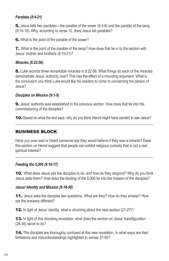#### *Parables (8:4-21)*

5. Jesus tells two parables—the parable of the sower (8:4-8) and the parable of the lamp (8:16-18). Why, according to verse 10, does Jesus tell parables?

**6.** What is the point of the parable of the sower?

7. What is the point of the parable of the lamp? How does that tie in to the section with Jesus' mother and brothers (8:19-21)?

#### *Miracles (8:22-56)*

8. Luke records three remarkable miracles in 8:22-56. What things do each of the miracles demonstrate Jesus' authority over? This has the effect of a mounting argument. What is the conclusion you think Luke would like his readers to come to concerning the person of Jesus?

#### *Disciples on Mission (9:1-9)*

9. Jesus' authority was established in the previous section. How does that tie into His commissioning of the disciples?

**10.** Based on what the text says, why do you think Herod might have wanted to see Jesus? \_\_\_\_\_\_\_\_\_\_\_\_\_\_\_\_\_\_\_\_\_\_\_\_\_\_\_\_\_\_\_\_\_\_\_\_\_\_\_\_\_\_\_\_\_\_\_\_\_\_\_\_\_\_\_\_\_\_\_\_

#### BUSINESS BLOCK

Have you ever said or heard someone say they would believe if they saw a miracle? Does this section on Herod suggest that people can exhibit religious curiosity that is not a real spiritual interest?

\_\_\_\_\_\_\_\_\_\_\_\_\_\_\_\_\_\_\_\_\_\_\_\_\_\_\_\_\_\_\_\_\_\_\_\_\_\_\_\_\_\_\_\_\_\_\_\_\_\_\_\_\_\_\_\_\_\_\_\_

#### *Feeding the 5,000 (9:10-17)*

**10.** What does Jesus ask the disciples to do, and how do they respond? Why do you think Jesus asks them? How does the feeding of the 5,000 tie into the mission of the disciples?

#### *Jesus' Identity and Mission (9:18-50)*

11. Jesus asks the disciples two questions. What are they? How do they answer? How are the answers different?

12. In light of Jesus' identity, what is shocking about the next section (21-27)?

13. In light of this shocking revelation, what does the section on Jesus' transfiguration (28-36) serve to do?

14. The disciples are thoroughly confused at this new revelation. In what ways are their limitations and misunderstandings highlighted in verses 37-50?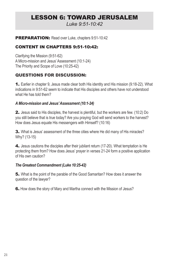# LESSON 6: TOWARD JERUSALEM

*Luke 9:51-10:42*

#### PREPARATION: Read over Luke, chapters 9:51-10:42

#### CONTENT IN CHAPTERS 9:51-10:42:

Clarifying the Mission (9:51-62) A Micro-mission and Jesus' Assessment (10:1-24) The Priority and Scope of Love (10:25-42)

#### QUESTIONS FOR DISCUSSION:

1. Earlier in chapter 9, Jesus made clear both His identity and His mission (9:18-22). What indications in 9:51-62 seem to indicate that His disciples and others have not understood what He has told them?

#### *A Micro-mission and Jesus' Assessment (10:1-24)*

2. Jesus said to His disciples, the harvest is plentiful, but the workers are few. (10:2) Do you still believe that is true today? Are you praying God will send workers to the harvest? How does Jesus equate His messengers with Himself? (10:16)

**3.** What is Jesus' assessment of the three cities where He did many of His miracles? Why? (13-15)

4. Jesus cautions the disciples after their jubilant return (17-20). What temptation is He protecting them from? How does Jesus' prayer in verses 21-24 form a positive application of His own caution?

#### *The Greatest Commandment (Luke 10:25-42)*

5. What is the point of the parable of the Good Samaritan? How does it answer the question of the lawyer?

6. How does the story of Mary and Martha connect with the Mission of Jesus?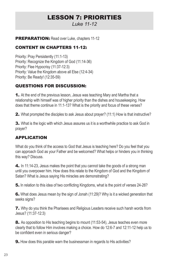# LESSON 7: PRIORITIES

*Luke 11-12*

#### **PREPARATION:** Read over Luke, chapters 11-12

## CONTENT IN CHAPTERS 11-12:

Priority: Pray Persistently (11:1-13) Priority: Recognize the Kingdom of God (11:14-36) Priority: Flee Hypocrisy (11:37-12:3) Priority: Value the Kingdom above all Else (12:4-34) Priority: Be Ready! (12:35-59)

## QUESTIONS FOR DISCUSSION:

1. At the end of the previous lesson, Jesus was teaching Mary and Martha that a relationship with himself was of higher priority than the dishes and housekeeping. How does that theme continue in 11:1-13? What is the priority and focus of these verses?

2. What prompted the disciples to ask Jesus about prayer? (11:1) How is that instructive?

**3.** What is the logic with which Jesus assures us it is a worthwhile practice to ask God in prayer?

## APPLICATION

What do you think of the access to God that Jesus is teaching here? Do you feel that you can approach God as your Father and be welcomed? What helps or hinders you in thinking this way? Discuss.

4. In 11:14-23, Jesus makes the point that you cannot take the goods of a strong man until you overpower him. How does this relate to the Kingdom of God and the Kingdom of Satan? What is Jesus saying His miracles are demonstrating?

5. In relation to this idea of two conflicting Kingdoms, what is the point of verses 24-26?

6. What does Jesus mean by the sign of Jonah (11:29)? Why is it a wicked generation that seeks signs?

7. Why do you think the Pharisees and Religious Leaders receive such harsh words from Jesus? (11:37-12:3)

**8.** As opposition to His teaching begins to mount (11:53-54), Jesus teaches even more clearly that to follow Him involves making a choice. How do 12:6-7 and 12:11-12 help us to be confident even in serious danger?

**9.** How does this parable warn the businessman in regards to His activities?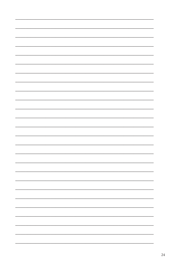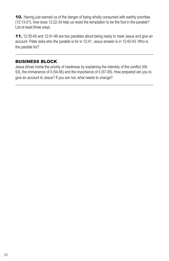10. Having just warned us of the danger of being wholly consumed with earthly priorities (12:13-21), how does 12:22-34 help us resist the temptation to be the fool in the parable? List at least three ways.

11. 12:35-40 and 12:41-48 are two parables about being ready to meet Jesus and give an account. Peter asks who the parable is for in 12:41. Jesus answer is in 12:42-43. Who is the parable for?

\_\_\_\_\_\_\_\_\_\_\_\_\_\_\_\_\_\_\_\_\_\_\_\_\_\_\_\_\_\_\_\_\_\_\_\_\_\_\_\_\_\_\_\_\_\_\_\_\_\_\_\_\_\_\_\_\_\_\_\_

#### BUSINESS BLOCK

Jesus drives home the priority of readiness by explaining the intensity of the conflict (49- 53), the immanence of it (54-56) and the importance of it (57-59). How prepared are you to give an account to Jesus? If you are not, what needs to change?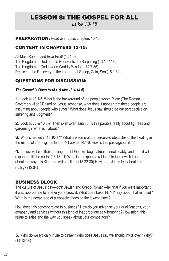# LESSON 8: THE GOSPEL FOR ALL

*Luke 13-15*

#### **PREPARATION:** Read over Luke, chapters 13-15

#### CONTENT IN CHAPTERS 13-15:

All Must Repent and Bear Fruit! (13:1-9) The Kingdom of God and Its Recipients are Surprising (13:10-14:6) The Kingdom of God Inverts Worldly Wisdom (14:7-35) Rejoice In the Recovery of the Lost—Lost Sheep, Coin, Son (15:1-32)

#### QUESTIONS FOR DISCUSSION:

#### *The Gospel is Open to ALL (Luke 13:1-14:6)*

1. Look at 13:1-5. What is the background of the people whom Pilate (The Roman Governor) killed? Based on Jesus' response, what does it appear that these people are assuming about people who suffer? What does Jesus say should be our perspective on suffering and judgment?

2. Look at Luke 13:6-9. Then skim over Isaiah 5. Is this parable really about fig trees and gardening? What is it about?

3. Who is healed in 13:10-17? What are some of the perceived obstacles of this healing in the minds of the religious leaders? Look at 14:1-6. How is this passage similar?

4. Jesus explains that the kingdom of God will begin almost unnoticeably, and then it will expand to fill the earth. (13:18-21) What is unexpected (at least to the Jewish Leaders) about the way this Kingdom will be filled? (13:22-30) How does Jesus feel about this reality? (13:34)

#### BUSINESS BLOCK

The culture of Jesus' day—both Jewish and Greco-Roman---felt that if you were important, it was appropriate to let everyone know it. What does Luke 14:7-11 say about that mindset? What is the advantage of purposely choosing the lowest place?

\_\_\_\_\_\_\_\_\_\_\_\_\_\_\_\_\_\_\_\_\_\_\_\_\_\_\_\_\_\_\_\_\_\_\_\_\_\_\_\_\_\_\_\_\_\_\_\_\_\_\_\_\_\_\_\_\_\_\_\_

How does this concept relate to business? How do you advertise your qualifications, your company and services without this kind of inappropriate self- honoring? How might this relate to sales and the way you speak about your competitors?

<sup>5.</sup> Who do we typically invite to dinner? Who does Jesus say we should invite over? Why? (14:12-14)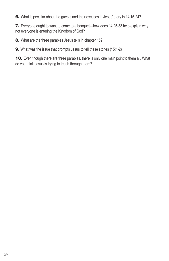6. What is peculiar about the guests and their excuses in Jesus' story in 14:15-24?

7. Everyone ought to want to come to a banquet—how does 14:25-33 help explain why not everyone is entering the Kingdom of God?

8. What are the three parables Jesus tells in chapter 15?

9. What was the issue that prompts Jesus to tell these stories (15:1-2)

10. Even though there are three parables, there is only one main point to them all. What do you think Jesus is trying to teach through them?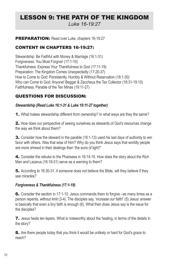## LESSON 9: THE PATH OF THE KINGDOM *Luke 16-19:27*

#### PREPARATION: Read over Luke, chapters 16-19:27

#### CONTENT IN CHAPTERS 16-19:27:

Stewardship: Be Faithful with Money & Marriage (16:1-31) Forgiveness: You Must Forgive! (17:1-10) Thankfulness: Express Your Thankfulness to God (17:11-19) Preparation: The Kingdom Comes Unexpectedly (17:20-37) How to Come to God: Persistently, Humbly & Without Reservation (18:1-30) Who can Come to God: Anyone! Beggar & Zaccheus the Tax Collector (18:31-19:10) Faithfulness: Parable of the Ten Minas (19:11-27)

#### QUESTIONS FOR DISCUSSION:

#### *Stewardship (Read Luke 16:1-31 & Luke 19:11-27 together)*

1. What makes stewardship different from ownership? In what ways are they the same?

2. How does our perspective of seeing ourselves as stewards of God's resources change the way we think about them?

**3.** Consider how the steward in the parable (16:1-13) used his last days of authority to win favor with others. Was that wise of Him? Why do you think Jesus says that worldly people are more shrewd in their dealings than 'the sons of light?'

4. Consider the rebuke to the Pharisees in 16:14-15. How does the story about the Rich Man and Lazarus (16:19-31) serve as a warning to them?

5. According to 16:30-31, if someone does not believe the Bible, will they believe if they see miracles?

#### *Forgiveness & Thankfulness (17:1-19)*

6. Consider the section in 17:1-10. Jesus commands them to forgive –as many times as a person repents, without limit (3-4). The disciples say, 'increase our faith!' (5) Jesus' answer is basically that even a tiny faith is enough (6). What then does Jesus say is the issue for the disciples?

7. Jesus heals ten lepers. What is noteworthy about the healing, in terms of the details in the story?

**8.** Are there people today that you think it would be unlikely or hard for God's grace to reach?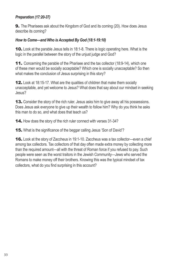#### *Preparation (17:20-37)*

**9.** The Pharisees ask about the Kingdom of God and its coming (20). How does Jesus describe its coming?

#### *How to Come—and Who is Accepted By God (18:1-19:10)*

10. Look at the parable Jesus tells in 18:1-8. There is logic operating here. What is the logic in the parallel between the story of the unjust judge and God?

11. Concerning the parable of the Pharisee and the tax collector (18:9-14), which one of these men would be socially acceptable? Which one is socially unacceptable? So then what makes the conclusion of Jesus surprising in this story?

12. Look at 18:15-17. What are the qualities of children that make them socially unacceptable, and yet welcome to Jesus? What does that say about our mindset in seeking Jesus?

13. Consider the story of the rich ruler. Jesus asks him to give away all his possessions. Does Jesus ask everyone to give up their wealth to follow him? Why do you think he asks this man to do so, and what does that teach us?

14. How does the story of the rich ruler connect with verses 31-34?

**15.** What is the significance of the beggar calling Jesus 'Son of David'?

16. Look at the story of Zaccheus in 19:1-10. Zaccheus was a tax collector—even a chief among tax collectors. Tax collectors of that day often made extra money by collecting more than the required amount—all with the threat of Roman force if you refused to pay. Such people were seen as the worst traitors in the Jewish Community—Jews who served the Romans to make money off their brothers. Knowing this was the typical mindset of tax collectors, what do you find surprising in this account?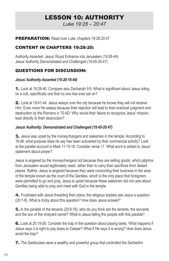# LESSON 10: AUTHORITY

*Luke 19:28 – 20:47*

#### **PREPARATION:** Read over Luke, chapters 19:28-20:47

#### CONTENT IN CHAPTERS 19:28-20:

Authority Asserted: Jesus' Royal Entrance into Jerusalem (19:28-44) Jesus' Authority Demonstrated and Challenged (19:45-20:47)

#### QUESTIONS FOR DISCUSSION:

#### *Jesus' Authority Asserted (19:28-19:44)*

1. Look at 19:28-40. Compare also Zechariah 9:9. What is significant about Jesus riding on a colt, specifically one that no one has ever sat on?

2. Look at 19:41-44. Jesus weeps over the city because he knows they will not receive Him. Even more He weeps because their rejection will lead to their eventual judgment and destruction by the Romans in 70 AD. Why would their failure to recognize Jesus' mission lead directly to their destruction?

#### *Jesus' Authority: Demonstrated and Challenged (19:45-20:47)*

**3.** Jesus was upset by the moneychangers and salesmen in the temple. According to 19:46, what purpose does he say has been subverted by their commercial activity? Look at the parallel account in Mark 11:15-18. Consider verse 17. What word is added to Jesus' statement about prayer?

Jesus is angered by the moneychangers not because they are selling goods, which pilgrims from Jerusalem would legitimately need, rather than to carry their sacrifices from distant places. Rather, Jesus is angered because they were conducting their business in the area of the temple known as the court of the Gentiles, which is the only place that foreigners were permitted to go and pray. Jesus is upset because these salesmen did not care about Gentiles being able to pray and meet with God in the temple.

4. Frustrated with Jesus thwarting their plans, the religious leaders ask Jesus a question (20:1-8). What is tricky about this question? How does Jesus answer?

5. In the parable of the tenants (20:9-18), who do you think are the tenants, the servants and the son of the vineyard owner? What is Jesus telling the people with this parable?

6. Look at 20:19-26. Consider the trap in the question about paying taxes. What happens if Jesus says it is right to pay taxes to Caesar? What if He says it is wrong? How does Jesus avoid the trap?

**7.** The Sadducees were a wealthy and powerful group that controlled the Sanhedrin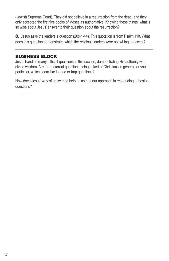(Jewish Supreme Court). They did not believe in a resurrection from the dead, and they only accepted the first five books of Moses as authoritative. Knowing these things, what is so wise about Jesus' answer to their question about the resurrection?

8. Jesus asks the leaders a question (20:41-44). This quotation is from Psalm 110. What does this question demonstrate, which the religious leaders were not willing to accept?

\_\_\_\_\_\_\_\_\_\_\_\_\_\_\_\_\_\_\_\_\_\_\_\_\_\_\_\_\_\_\_\_\_\_\_\_\_\_\_\_\_\_\_\_\_\_\_\_\_\_\_\_\_\_\_\_\_\_\_\_

#### BUSINESS BLOCK

Jesus handled many difficult questions in this section, demonstrating His authority with divine wisdom. Are there current questions being asked of Christians in general, or you in particular, which seem like loaded or trap questions?

How does Jesus' way of answering help to instruct our approach in responding to hostile questions?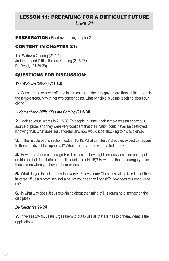## LESSON 11: PREPARING FOR A DIFFICULT FUTURE *Luke 21*

#### **PREPARATION:** Read over Luke, chapter 21

#### CONTENT IN CHAPTER 21:

The Widow's Offering (21:1-4) Judgment and Difficulties are Coming (21:5-28) Be Ready (21:29-39)

#### QUESTIONS FOR DISCUSSION:

#### *The Widow's Offering (21:1-4)*

1. Consider the widow's offering in verses 1-4. If she truly gave more than all the others in the temple treasury with her two copper coins, what principle is Jesus teaching about our giving?

#### *Judgment and Difficulties are Coming (21:5-28)*

2. Look at Jesus' words in 21:5-28. To people in Israel, their temple was an enormous source of pride, and they were very confident that their nation could never be destroyed. Knowing that, what does Jesus foretell and how would it be shocking to his audience?

3. In the middle of this section, look at 13-19. What can Jesus' disciples expect to happen to them amidst all this upheaval? What are they—and we—called to do?

4. How does Jesus encourage His disciples as they might anxiously imagine being put on trial for their faith before a hostile audience (14-15)? How does that encourage you for those times when you have to bear witness?

5. What do you think it means that verse 16 says some Christians will be killed—but then in verse 18 Jesus promises 'not a hair of your head will perish'? How does this encourage us?

6. In what way does Jesus explaining about the timing of His return help strengthen the disciples?

#### *Be Ready (21:29-39)*

7. In verses 29-36, Jesus urges them to put to use all that He has told them. What is the application?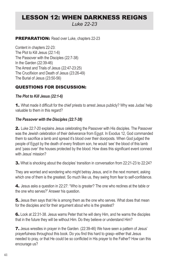# LESSON 12: WHEN DARKNESS REIGNS *Luke 22-23*

#### **PREPARATION:** Read over Luke, chapters 22-23

Content in chapters 22-23: The Plot to Kill Jesus (22:1-6) The Passover with the Disciples (22:7-38) In the Garden (22:39-46) The Arrest and Trials of Jesus (22:47-23:25) The Crucifixion and Death of Jesus (23:26-49) The Burial of Jesus (23:50-56)

#### QUESTIONS FOR DISCUSSION:

#### *The Plot to Kill Jesus (22:1-6)*

1. What made it difficult for the chief priests to arrest Jesus publicly? Why was Judas' help valuable to them in this regard?

#### *The Passover with the Disciples (22:7-38)*

2. Luke 22:7-20 explains Jesus celebrating the Passover with His disciples. The Passover was the Jewish celebration of their deliverance from Egypt. In Exodus 12, God commanded them to sacrifice a lamb and spread it's blood over their doorposts. When God judged the people of Egypt by the death of every firstborn son, he would 'see' the blood of this lamb and 'pass over' the houses protected by the blood. How does this significant event connect with Jesus' mission?

3. What is shocking about the disciples' transition in conversation from 22:21-23 to 22:24?

They are worried and wondering who might betray Jesus, and in the next moment, asking which one of them is the greatest. So much like us, they swing from fear to self-confidence.

4. Jesus asks a question in 22:27: "Who is greater? The one who reclines at the table or the one who serves?" Answer his question.

5. Jesus then says that He is among them as the one who serves. What does that mean for the disciples and for their argument about who is the greatest?

6. Look at 22:31-38. Jesus warns Peter that he will deny Him, and he warns the disciples that in the future they will be without Him. Do they believe or understand Him?

7. Jesus wrestles in prayer in the Garden. (22:39-46) We have seen a pattern of Jesus' prayerfulness throughout this book. Do you find this hard to grasp--either that Jesus needed to pray, or that He could be so conflicted in His prayer to the Father? How can this encourage us?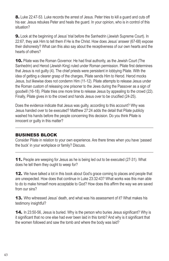8. Luke 22:47-53. Luke records the arrest of Jesus. Peter tries to kill a guard and cuts off his ear. Jesus rebukes Peter and heals the guard. In your opinion, who is in control of this situation?

9. Look at the beginning of Jesus' trial before the Sanhedrin (Jewish Supreme Court). In 22:67, they ask Him to tell them if He is the Christ. How does Jesus' answer (67-68) expose their dishonesty? What can this also say about the receptiveness of our own hearts and the hearts of others?

10. Pilate was the Roman Governor. He had final authority, as the Jewish Court (The Sanhedrin) and Herod (Jewish King) ruled under Roman permission. Pilate first determines that Jesus is not guilty (4). The chief priests were persistent in lobbying Pilate. With the idea of getting a clearer grasp of the charges, Pilate sends Him to Herod. Herod mocks Jesus, but likewise does not condemn Him (11-12). Pilate attempts to release Jesus under the Roman custom of releasing one prisoner to the Jews during the Passover as a sign of goodwill (16-18). Pilate tries one more time to release Jesus by appealing to the crowd (22). Finally, Pilate gives in to the crowd and hands Jesus over to be crucified (24-25).

Does the evidence indicate that Jesus was guilty, according to this account? Why was Jesus handed over to be executed? Matthew 27:24 adds the detail that Pilate publicly washed his hands before the people concerning this decision. Do you think Pilate is innocent or guilty in this matter?

#### BUSINESS BLOCK

Consider Pilate in relation to your own experience. Are there times when you have 'passed the buck' in your workplace or family? Discuss. \_\_\_\_\_\_\_\_\_\_\_\_\_\_\_\_\_\_\_\_\_\_\_\_\_\_\_\_\_\_\_\_\_\_\_\_\_\_\_\_\_\_\_\_\_\_\_\_\_\_\_\_\_\_\_\_\_\_\_\_\_\_\_\_\_\_

\_\_\_\_\_\_\_\_\_\_\_\_\_\_\_\_\_\_\_\_\_\_\_\_\_\_\_\_\_\_\_\_\_\_\_\_\_\_\_\_\_\_\_\_\_\_\_\_\_\_\_\_\_\_\_\_\_\_\_\_\_\_\_\_\_\_

11. People are weeping for Jesus as he is being led out to be executed (27-31). What does he tell them they ought to weep for?

12. We have talked a lot in this book about God's grace coming to places and people that are unexpected. How does that continue in Luke 23:32-43? What works was this man able to do to make himself more acceptable to God? How does this affirm the way we are saved from our sins?

13. Who witnessed Jesus' death, and what was his assessment of it? What makes his testimony insightful?

14. In 23:50-56, Jesus is buried. Why is the person who buries Jesus significant? Why is it significant that no one else had ever been laid in this tomb? And why is it significant that the women followed and saw the tomb and where the body was laid?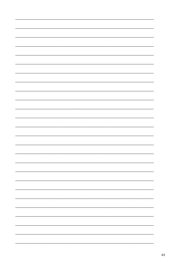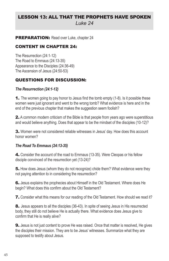## LESSON 13: ALL THAT THE PROPHETS HAVE SPOKEN *Luke 24*

#### **PREPARATION:** Read over Luke, chapter 24

#### CONTENT IN CHAPTER 24:

The Resurrection (24:1-12) The Road to Emmaus (24:13-35) Appearance to the Disciples (24:36-49) The Ascension of Jesus (24:50-53)

#### QUESTIONS FOR DISCUSSION:

#### *The Resurrection (24:1-12)*

**1.** The women going to pay honor to Jesus find the tomb empty (1-8). Is it possible these women were just ignorant and went to the wrong tomb? What evidence is here and in the end of the previous chapter that makes the suggestion seem foolish?

2. A common modern criticism of the Bible is that people from years ago were superstitious and would believe anything. Does that appear to be the mindset of the disciples (10-12)?

**3.** Women were not considered reliable witnesses in Jesus' day. How does this account honor women?

#### *The Road To Emmaus (24:13-35)*

4. Consider the account of the road to Emmaus (13-35). Were Cleopas or his fellow disciple convinced of the resurrection yet (13-24)?

5. How does Jesus (whom they do not recognize) chide them? What evidence were they not paying attention to in considering the resurrection?

6. Jesus explains the prophecies about Himself in the Old Testament. Where does He begin? What does this confirm about the Old Testament?

7. Consider what this means for our reading of the Old Testament. How should we read it?

8. Jesus appears to all the disciples (36-43). In spite of seeing Jesus in His resurrected body, they still do not believe He is actually there. What evidence does Jesus give to confirm that He is really alive?

9. Jesus is not just content to prove He was raised. Once that matter is resolved, He gives the disciples their mission. They are to be Jesus' witnesses. Summarize what they are supposed to testify about Jesus.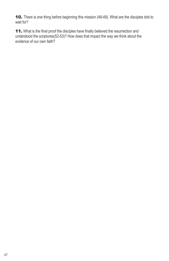10. There is one thing before beginning this mission (48-49). What are the disciples told to wait for?

11. What is the final proof the disciples have finally believed the resurrection and understood the scriptures(52-53)? How does that impact the way we think about the evidence of our own faith?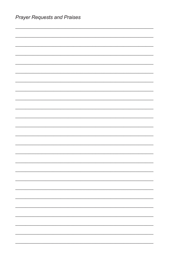| <b>Prayer Requests and Praises</b> |  |  |
|------------------------------------|--|--|
|                                    |  |  |
|                                    |  |  |
|                                    |  |  |
|                                    |  |  |
|                                    |  |  |
|                                    |  |  |
|                                    |  |  |
|                                    |  |  |
|                                    |  |  |
|                                    |  |  |
|                                    |  |  |
|                                    |  |  |
|                                    |  |  |
|                                    |  |  |
|                                    |  |  |
|                                    |  |  |
|                                    |  |  |
|                                    |  |  |
|                                    |  |  |
|                                    |  |  |
|                                    |  |  |
|                                    |  |  |